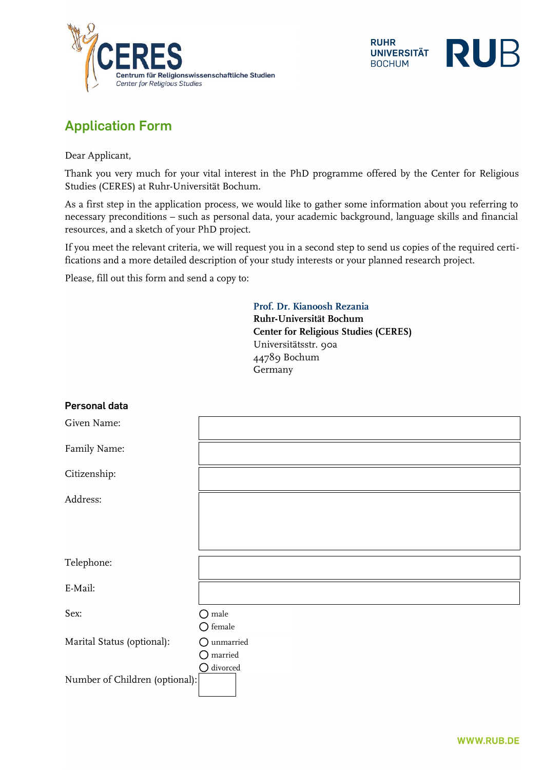



# **Application Form**

Dear Applicant,

Thank you very much for your vital interest in the PhD programme offered by the Center for Religious Studies (CERES) at Ruhr-Universität Bochum.

As a first step in the application process, we would like to gather some information about you referring to necessary preconditions – such as personal data, your academic background, language skills and financial resources, and a sketch of your PhD project.

If you meet the relevant criteria, we will request you in a second step to send us copies of the required certifications and a more detailed description of your study interests or your planned research project.

Please, fill out this form and send a copy to:

**Prof. Dr. Kianoosh Rezania Ruhr-Universität Bochum Center for Religious Studies (CERES)** Universitätsstr. 90a 44789 Bochum Germany

| Personal data                  |                                            |
|--------------------------------|--------------------------------------------|
| Given Name:                    |                                            |
| Family Name:                   |                                            |
| Citizenship:                   |                                            |
| Address:                       |                                            |
|                                |                                            |
|                                |                                            |
| Telephone:                     |                                            |
| E-Mail:                        |                                            |
| Sex:                           | $\bigcirc$ male<br>$\bigcirc$ female       |
| Marital Status (optional):     | $\bigcirc$ unmarried<br>$\bigcirc$ married |
| Number of Children (optional): | $\bigcirc$ divorced                        |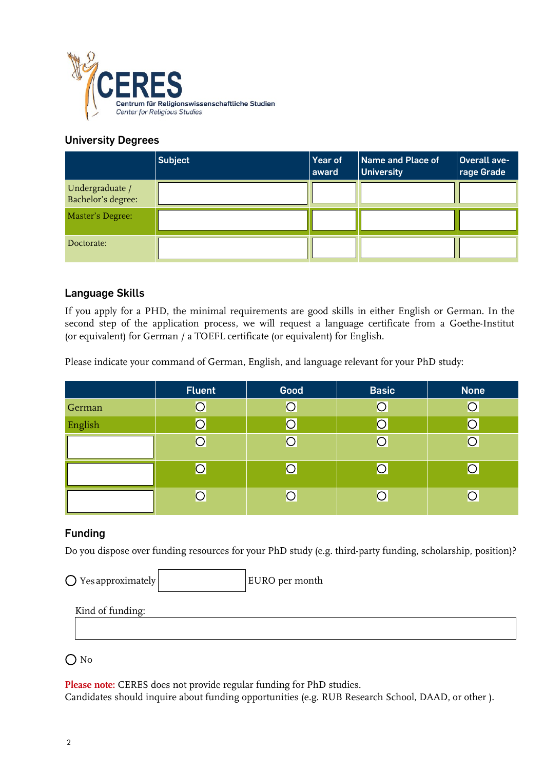

#### **University Degrees**

|                                       | <b>Subject</b> | Year of<br>award | Name and Place of<br><b>University</b> | Overall ave-<br>rage Grade |
|---------------------------------------|----------------|------------------|----------------------------------------|----------------------------|
| Undergraduate /<br>Bachelor's degree: |                |                  |                                        |                            |
| Master's Degree:                      |                |                  |                                        |                            |
| Doctorate:                            |                |                  |                                        |                            |

#### **Language Skills**

If you apply for a PHD, the minimal requirements are good skills in either English or German. In the second step of the application process, we will request a language certificate from a Goethe-Institut (or equivalent) for German / a TOEFL certificate (or equivalent) for English.

Please indicate your command of German, English, and language relevant for your PhD study:

|         | <b>Fluent</b>  | Good | <b>Basic</b>          | <b>None</b> |
|---------|----------------|------|-----------------------|-------------|
| German  | $\bigcirc$     |      | $\bigcirc$            |             |
| English |                |      |                       |             |
|         | $\overline{O}$ | ◯    | $\circ$               |             |
|         |                |      | О                     |             |
|         | $\overline{O}$ | ∩    | $\overline{\bigcirc}$ |             |

#### **Funding**

Do you dispose over funding resources for your PhD study (e.g. third-party funding, scholarship, position)?

EURO per month  $\bigcirc$  Yes approximately

Kind of funding:

### $\bigcap$  No

**Please note:** CERES does not provide regular funding for PhD studies.

Candidates should inquire about funding opportunities (e.g. RUB Research School, DAAD, or other ).